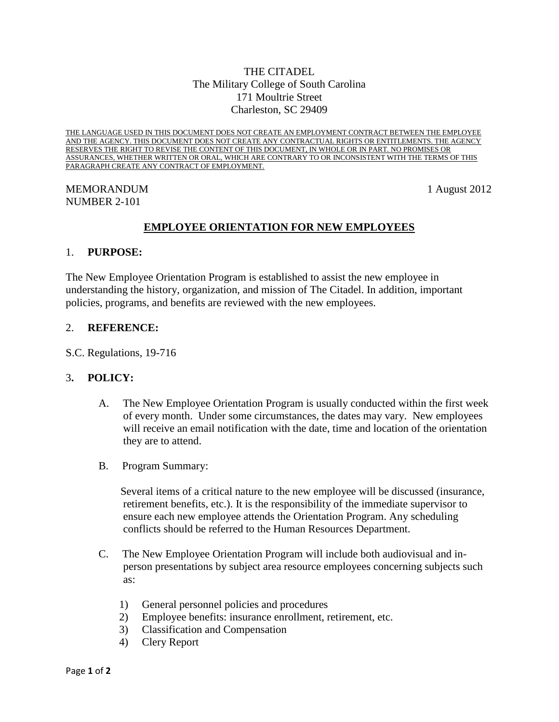# THE CITADEL The Military College of South Carolina 171 Moultrie Street Charleston, SC 29409

THE LANGUAGE USED IN THIS DOCUMENT DOES NOT CREATE AN EMPLOYMENT CONTRACT BETWEEN THE EMPLOYEE AND THE AGENCY. THIS DOCUMENT DOES NOT CREATE ANY CONTRACTUAL RIGHTS OR ENTITLEMENTS. THE AGENCY RESERVES THE RIGHT TO REVISE THE CONTENT OF THIS DOCUMENT, IN WHOLE OR IN PART. NO PROMISES OR ASSURANCES, WHETHER WRITTEN OR ORAL, WHICH ARE CONTRARY TO OR INCONSISTENT WITH THE TERMS OF THIS PARAGRAPH CREATE ANY CONTRACT OF EMPLOYMENT.

### MEMORANDUM 1 August 2012 NUMBER 2-101

# **EMPLOYEE ORIENTATION FOR NEW EMPLOYEES**

#### 1. **PURPOSE:**

The New Employee Orientation Program is established to assist the new employee in understanding the history, organization, and mission of The Citadel. In addition, important policies, programs, and benefits are reviewed with the new employees.

#### 2. **REFERENCE:**

S.C. Regulations, 19-716

### 3**. POLICY:**

- A. The New Employee Orientation Program is usually conducted within the first week of every month. Under some circumstances, the dates may vary. New employees will receive an email notification with the date, time and location of the orientation they are to attend.
- B. Program Summary:

 Several items of a critical nature to the new employee will be discussed (insurance, retirement benefits, etc.). It is the responsibility of the immediate supervisor to ensure each new employee attends the Orientation Program. Any scheduling conflicts should be referred to the Human Resources Department.

- C. The New Employee Orientation Program will include both audiovisual and inperson presentations by subject area resource employees concerning subjects such as:
	- 1) General personnel policies and procedures
	- 2) Employee benefits: insurance enrollment, retirement, etc.
	- 3) Classification and Compensation
	- 4) Clery Report